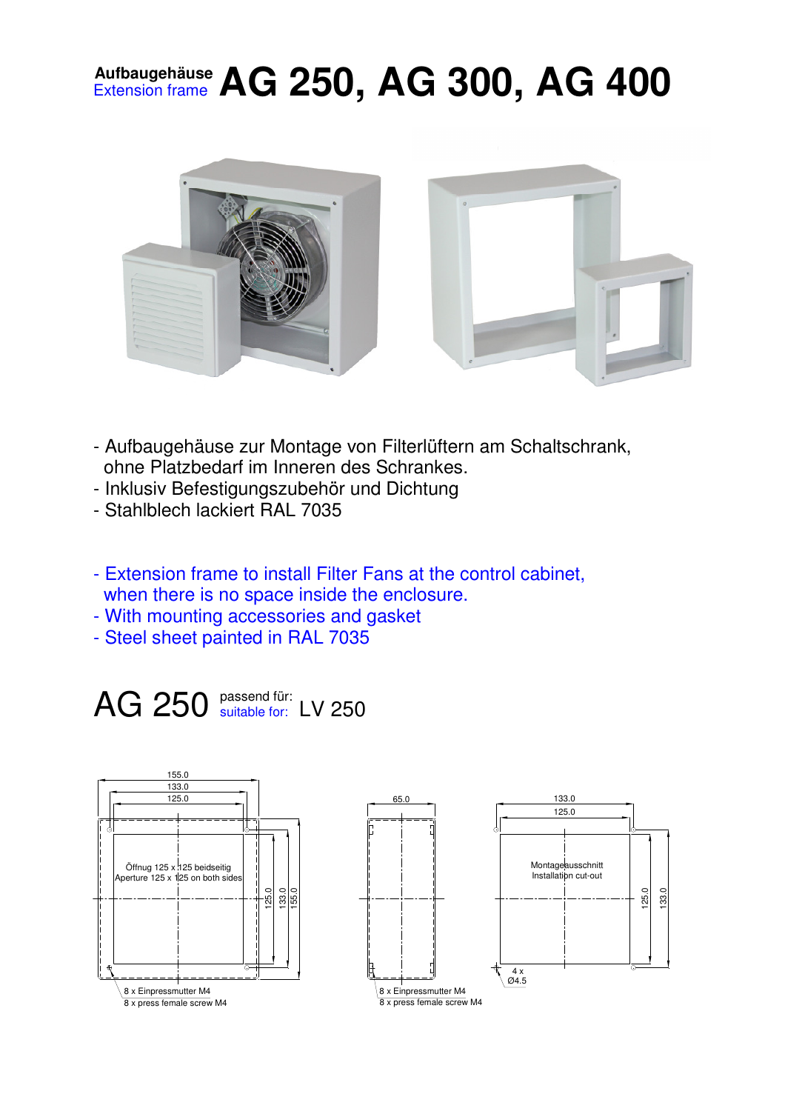## **Aufbaugehäuse** Extension frame **AG 250, AG 300, AG 400**



- Aufbaugehäuse zur Montage von Filterlüftern am Schaltschrank, ohne Platzbedarf im Inneren des Schrankes.
- Inklusiv Befestigungszubehör und Dichtung
- Stahlblech lackiert RAL 7035
- Extension frame to install Filter Fans at the control cabinet, when there is no space inside the enclosure.
- With mounting accessories and gasket
- Steel sheet painted in RAL 7035